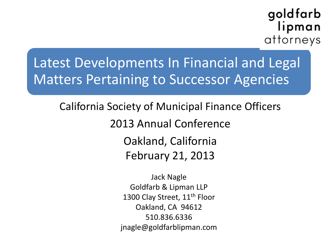#### goldfarb lipman attorneys

#### Latest Developments In Financial and Legal Matters Pertaining to Successor Agencies

California Society of Municipal Finance Officers 2013 Annual Conference Oakland, California February 21, 2013

> Jack Nagle Goldfarb & Lipman LLP 1300 Clay Street, 11<sup>th</sup> Floor Oakland, CA 94612 510.836.6336 jnagle@goldfarblipman.com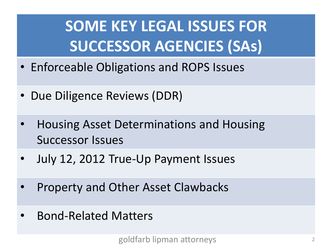## **SOME KEY LEGAL ISSUES FOR SUCCESSOR AGENCIES (SAs)**

- Enforceable Obligations and ROPS Issues
- Due Diligence Reviews (DDR)
- Housing Asset Determinations and Housing Successor Issues
- July 12, 2012 True-Up Payment Issues
- Property and Other Asset Clawbacks
- Bond-Related Matters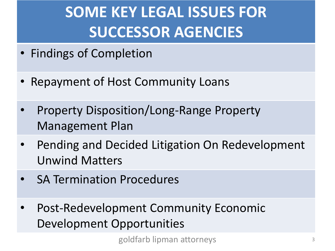## **SOME KEY LEGAL ISSUES FOR SUCCESSOR AGENCIES**

- Findings of Completion
- Repayment of Host Community Loans
- Property Disposition/Long-Range Property Management Plan
- Pending and Decided Litigation On Redevelopment Unwind Matters
- **SA Termination Procedures**
- Post-Redevelopment Community Economic Development Opportunities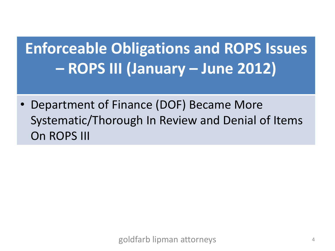## **Enforceable Obligations and ROPS Issues – ROPS III (January – June 2012)**

• Department of Finance (DOF) Became More Systematic/Thorough In Review and Denial of Items On ROPS III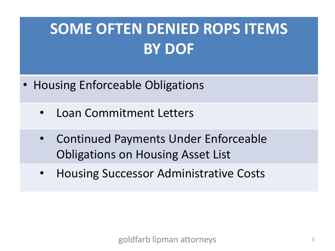- Housing Enforceable Obligations
	- Loan Commitment Letters
	- Continued Payments Under Enforceable Obligations on Housing Asset List
	- Housing Successor Administrative Costs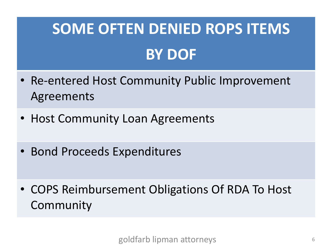- Re-entered Host Community Public Improvement Agreements
- Host Community Loan Agreements
- Bond Proceeds Expenditures
- COPS Reimbursement Obligations Of RDA To Host Community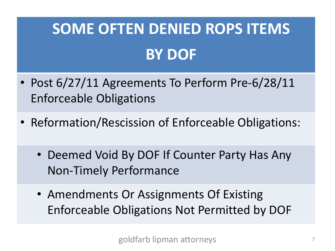- Post 6/27/11 Agreements To Perform Pre-6/28/11 Enforceable Obligations
- Reformation/Rescission of Enforceable Obligations:
	- Deemed Void By DOF If Counter Party Has Any Non-Timely Performance
	- Amendments Or Assignments Of Existing Enforceable Obligations Not Permitted by DOF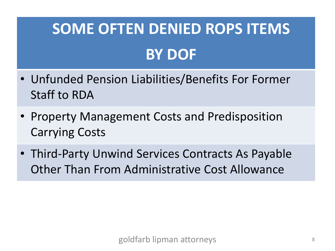- Unfunded Pension Liabilities/Benefits For Former Staff to RDA
- Property Management Costs and Predisposition Carrying Costs
- Third-Party Unwind Services Contracts As Payable Other Than From Administrative Cost Allowance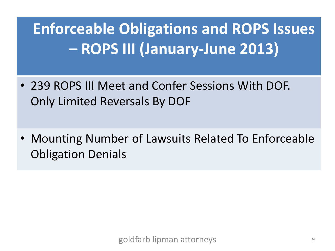**Enforceable Obligations and ROPS Issues – ROPS III (January-June 2013)**

- 239 ROPS III Meet and Confer Sessions With DOF. Only Limited Reversals By DOF
- Mounting Number of Lawsuits Related To Enforceable Obligation Denials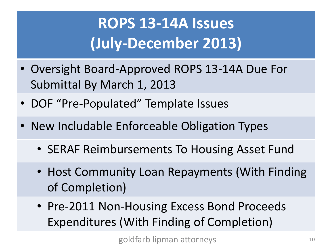## **ROPS 13-14A Issues (July-December 2013)**

- Oversight Board-Approved ROPS 13-14A Due For Submittal By March 1, 2013
- DOF "Pre-Populated" Template Issues
- New Includable Enforceable Obligation Types
	- SERAF Reimbursements To Housing Asset Fund
	- Host Community Loan Repayments (With Finding of Completion)
	- Pre-2011 Non-Housing Excess Bond Proceeds Expenditures (With Finding of Completion)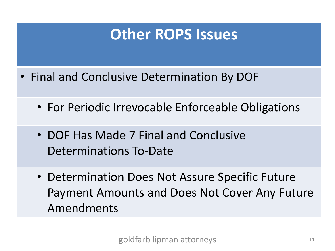#### **Other ROPS Issues**

- Final and Conclusive Determination By DOF
	- For Periodic Irrevocable Enforceable Obligations
	- DOF Has Made 7 Final and Conclusive Determinations To-Date
	- Determination Does Not Assure Specific Future Payment Amounts and Does Not Cover Any Future Amendments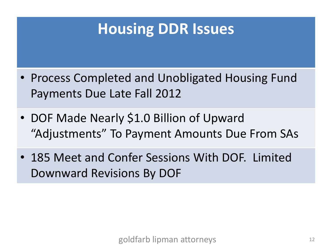#### **Housing DDR Issues**

- Process Completed and Unobligated Housing Fund Payments Due Late Fall 2012
- DOF Made Nearly \$1.0 Billion of Upward "Adjustments" To Payment Amounts Due From SAs
- 185 Meet and Confer Sessions With DOF. Limited Downward Revisions By DOF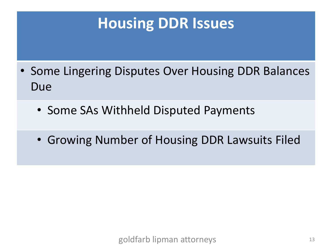#### **Housing DDR Issues**

- Some Lingering Disputes Over Housing DDR Balances Due
	- Some SAs Withheld Disputed Payments
	- Growing Number of Housing DDR Lawsuits Filed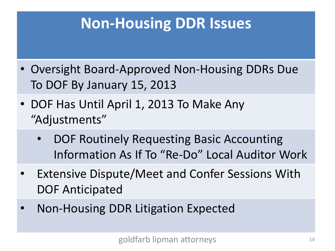#### **Non-Housing DDR Issues**

- Oversight Board-Approved Non-Housing DDRs Due To DOF By January 15, 2013
- DOF Has Until April 1, 2013 To Make Any "Adjustments"
	- DOF Routinely Requesting Basic Accounting Information As If To "Re-Do" Local Auditor Work
- **Extensive Dispute/Meet and Confer Sessions With** DOF Anticipated
- Non-Housing DDR Litigation Expected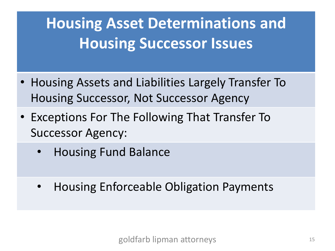## **Housing Asset Determinations and Housing Successor Issues**

- Housing Assets and Liabilities Largely Transfer To Housing Successor, Not Successor Agency
- Exceptions For The Following That Transfer To Successor Agency:
	- Housing Fund Balance
	- Housing Enforceable Obligation Payments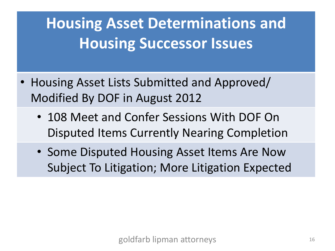## **Housing Asset Determinations and Housing Successor Issues**

- Housing Asset Lists Submitted and Approved/ Modified By DOF in August 2012
	- 108 Meet and Confer Sessions With DOF On Disputed Items Currently Nearing Completion
	- Some Disputed Housing Asset Items Are Now Subject To Litigation; More Litigation Expected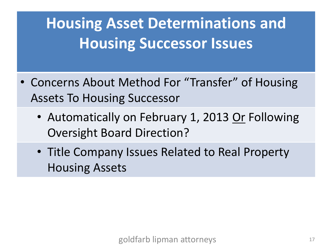## **Housing Asset Determinations and Housing Successor Issues**

- Concerns About Method For "Transfer" of Housing Assets To Housing Successor
	- Automatically on February 1, 2013 Or Following Oversight Board Direction?
	- Title Company Issues Related to Real Property Housing Assets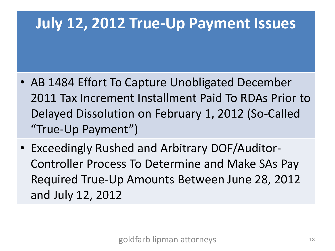#### **July 12, 2012 True-Up Payment Issues**

- AB 1484 Effort To Capture Unobligated December 2011 Tax Increment Installment Paid To RDAs Prior to Delayed Dissolution on February 1, 2012 (So-Called "True-Up Payment")
- Exceedingly Rushed and Arbitrary DOF/Auditor-Controller Process To Determine and Make SAs Pay Required True-Up Amounts Between June 28, 2012 and July 12, 2012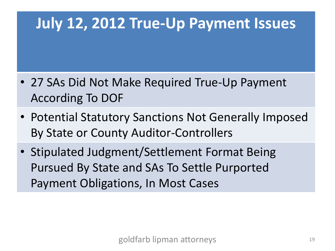#### **July 12, 2012 True-Up Payment Issues**

- 27 SAs Did Not Make Required True-Up Payment According To DOF
- Potential Statutory Sanctions Not Generally Imposed By State or County Auditor-Controllers
- Stipulated Judgment/Settlement Format Being Pursued By State and SAs To Settle Purported Payment Obligations, In Most Cases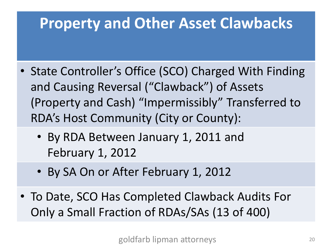#### **Property and Other Asset Clawbacks**

- State Controller's Office (SCO) Charged With Finding and Causing Reversal ("Clawback") of Assets (Property and Cash) "Impermissibly" Transferred to RDA's Host Community (City or County):
	- By RDA Between January 1, 2011 and February 1, 2012
	- By SA On or After February 1, 2012
- To Date, SCO Has Completed Clawback Audits For Only a Small Fraction of RDAs/SAs (13 of 400)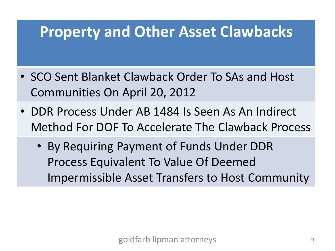#### **Property and Other Asset Clawbacks**

- SCO Sent Blanket Clawback Order To SAs and Host Communities On April 20, 2012
- DDR Process Under AB 1484 Is Seen As An Indirect Method For DOF To Accelerate The Clawback Process
	- By Requiring Payment of Funds Under DDR Process Equivalent To Value Of Deemed Impermissible Asset Transfers to Host Community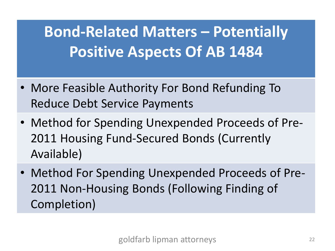**Bond-Related Matters – Potentially Positive Aspects Of AB 1484**

- More Feasible Authority For Bond Refunding To Reduce Debt Service Payments
- Method for Spending Unexpended Proceeds of Pre-2011 Housing Fund-Secured Bonds (Currently Available)
- Method For Spending Unexpended Proceeds of Pre-2011 Non-Housing Bonds (Following Finding of Completion)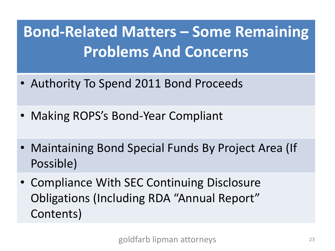**Bond-Related Matters – Some Remaining Problems And Concerns**

- Authority To Spend 2011 Bond Proceeds
- Making ROPS's Bond-Year Compliant
- Maintaining Bond Special Funds By Project Area (If Possible)
- Compliance With SEC Continuing Disclosure Obligations (Including RDA "Annual Report" Contents)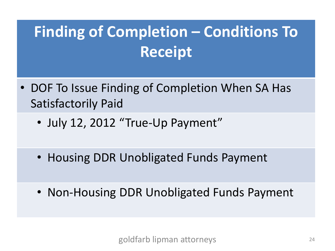## **Finding of Completion – Conditions To Receipt**

- DOF To Issue Finding of Completion When SA Has Satisfactorily Paid
	- July 12, 2012 "True-Up Payment"
	- Housing DDR Unobligated Funds Payment
	- Non-Housing DDR Unobligated Funds Payment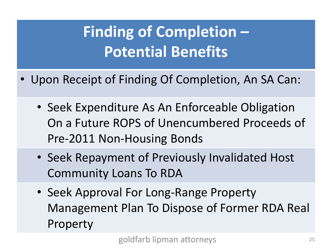## **Finding of Completion – Potential Benefits**

- Upon Receipt of Finding Of Completion, An SA Can:
	- Seek Expenditure As An Enforceable Obligation On a Future ROPS of Unencumbered Proceeds of Pre-2011 Non-Housing Bonds
	- Seek Repayment of Previously Invalidated Host Community Loans To RDA
	- Seek Approval For Long-Range Property Management Plan To Dispose of Former RDA Real Property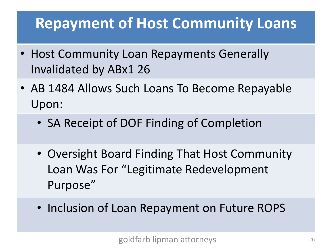#### **Repayment of Host Community Loans**

- Host Community Loan Repayments Generally Invalidated by ABx1 26
- AB 1484 Allows Such Loans To Become Repayable Upon:
	- SA Receipt of DOF Finding of Completion
	- Oversight Board Finding That Host Community Loan Was For "Legitimate Redevelopment Purpose"
	- Inclusion of Loan Repayment on Future ROPS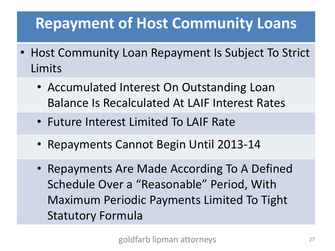#### **Repayment of Host Community Loans**

- Host Community Loan Repayment Is Subject To Strict Limits
	- Accumulated Interest On Outstanding Loan Balance Is Recalculated At LAIF Interest Rates
	- Future Interest Limited To LAIF Rate
	- Repayments Cannot Begin Until 2013-14
	- Repayments Are Made According To A Defined Schedule Over a "Reasonable" Period, With Maximum Periodic Payments Limited To Tight Statutory Formula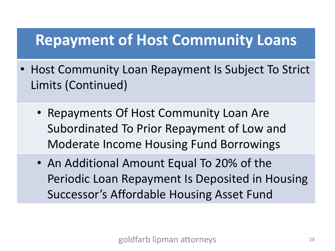#### **Repayment of Host Community Loans**

- Host Community Loan Repayment Is Subject To Strict Limits (Continued)
	- Repayments Of Host Community Loan Are Subordinated To Prior Repayment of Low and Moderate Income Housing Fund Borrowings
	- An Additional Amount Equal To 20% of the Periodic Loan Repayment Is Deposited in Housing Successor's Affordable Housing Asset Fund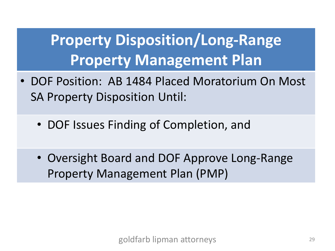### **Property Disposition/Long-Range Property Management Plan**

- DOF Position: AB 1484 Placed Moratorium On Most SA Property Disposition Until:
	- DOF Issues Finding of Completion, and
	- Oversight Board and DOF Approve Long-Range Property Management Plan (PMP)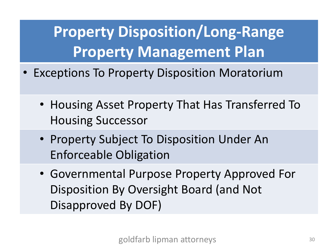**Property Disposition/Long-Range Property Management Plan**

- Exceptions To Property Disposition Moratorium
	- Housing Asset Property That Has Transferred To Housing Successor
	- Property Subject To Disposition Under An Enforceable Obligation
	- Governmental Purpose Property Approved For Disposition By Oversight Board (and Not Disapproved By DOF)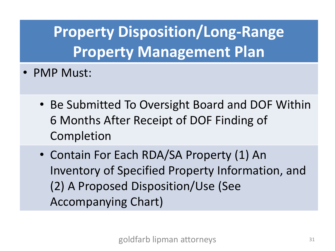**Property Disposition/Long-Range Property Management Plan**

- PMP Must:
	- Be Submitted To Oversight Board and DOF Within 6 Months After Receipt of DOF Finding of Completion
	- Contain For Each RDA/SA Property (1) An Inventory of Specified Property Information, and (2) A Proposed Disposition/Use (See Accompanying Chart)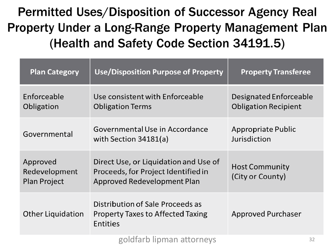**Permitted Uses/Disposition of Successor Agency Real Property Under a Long-Range Property Management Plan** (Health and Safety Code Section 34191.5)

| <b>Plan Category</b>                             | <b>Use/Disposition Purpose of Property</b>                                                                  | <b>Property Transferee</b>                            |
|--------------------------------------------------|-------------------------------------------------------------------------------------------------------------|-------------------------------------------------------|
| Enforceable<br>Obligation                        | Use consistent with Enforceable<br><b>Obligation Terms</b>                                                  | Designated Enforceable<br><b>Obligation Recipient</b> |
| Governmental                                     | Governmental Use in Accordance<br>with Section $34181(a)$                                                   | Appropriate Public<br>Jurisdiction                    |
| Approved<br>Redevelopment<br><b>Plan Project</b> | Direct Use, or Liquidation and Use of<br>Proceeds, for Project Identified in<br>Approved Redevelopment Plan | <b>Host Community</b><br>(City or County)             |
| <b>Other Liquidation</b>                         | Distribution of Sale Proceeds as<br><b>Property Taxes to Affected Taxing</b><br>Entities                    | <b>Approved Purchaser</b>                             |
|                                                  | goldfarb lipman attorneys                                                                                   | 32                                                    |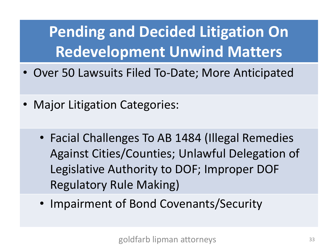**Pending and Decided Litigation On Redevelopment Unwind Matters**

- Over 50 Lawsuits Filed To-Date; More Anticipated
- Major Litigation Categories:
	- Facial Challenges To AB 1484 (Illegal Remedies Against Cities/Counties; Unlawful Delegation of Legislative Authority to DOF; Improper DOF Regulatory Rule Making)
	- Impairment of Bond Covenants/Security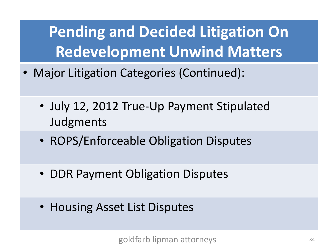**Pending and Decided Litigation On Redevelopment Unwind Matters**

- Major Litigation Categories (Continued):
	- July 12, 2012 True-Up Payment Stipulated Judgments
	- ROPS/Enforceable Obligation Disputes
	- DDR Payment Obligation Disputes
	- Housing Asset List Disputes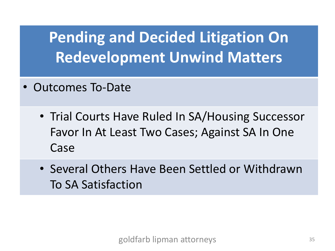### **Pending and Decided Litigation On Redevelopment Unwind Matters**

- Outcomes To-Date
	- Trial Courts Have Ruled In SA/Housing Successor Favor In At Least Two Cases; Against SA In One Case
	- Several Others Have Been Settled or Withdrawn To SA Satisfaction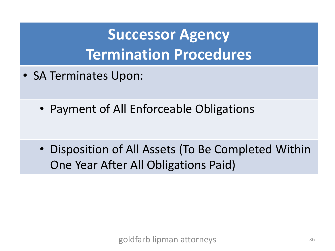### **Successor Agency Termination Procedures**

- SA Terminates Upon:
	- Payment of All Enforceable Obligations

• Disposition of All Assets (To Be Completed Within One Year After All Obligations Paid)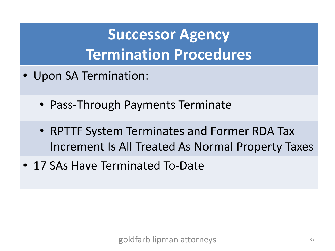### **Successor Agency Termination Procedures**

- Upon SA Termination:
	- Pass-Through Payments Terminate
	- RPTTF System Terminates and Former RDA Tax Increment Is All Treated As Normal Property Taxes
- 17 SAs Have Terminated To-Date